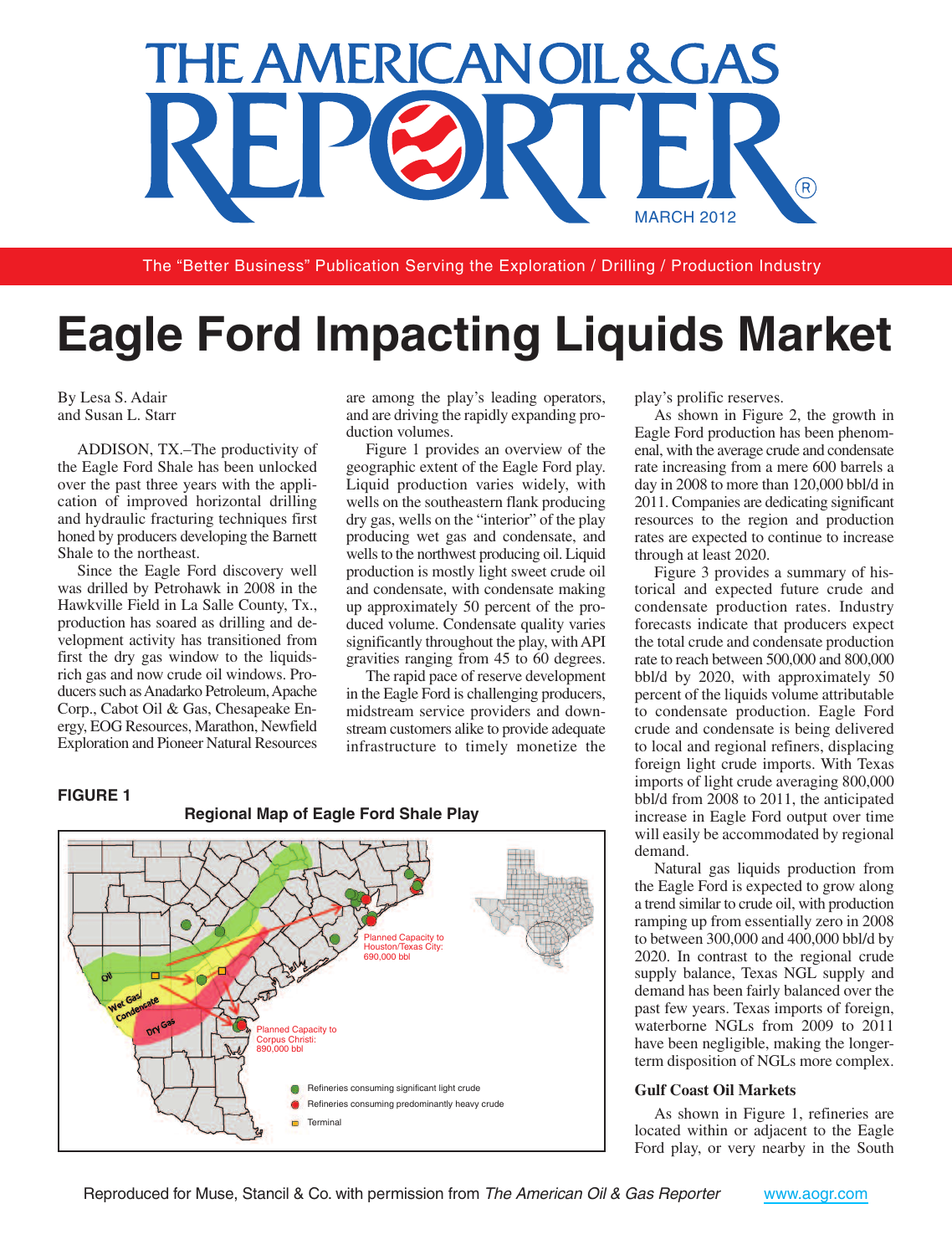

The "Better Business" Publication Serving the Exploration / Drilling / Production Industry

# **Eagle Ford Impacting Liquids Market**

By Lesa S. Adair and Susan L. Starr

ADDISON, TX.–The productivity of the Eagle Ford Shale has been unlocked over the past three years with the application of improved horizontal drilling and hydraulic fracturing techniques first honed by producers developing the Barnett Shale to the northeast.

Since the Eagle Ford discovery well was drilled by Petrohawk in 2008 in the Hawkville Field in La Salle County, Tx., production has soared as drilling and development activity has transitioned from first the dry gas window to the liquidsrich gas and now crude oil windows. Producers such as Anadarko Petroleum, Apache Corp., Cabot Oil & Gas, Chesapeake Energy, EOG Resources, Marathon, Newfield Exploration and Pioneer Natural Resources are among the play's leading operators, and are driving the rapidly expanding production volumes.

Figure 1 provides an overview of the geographic extent of the Eagle Ford play. Liquid production varies widely, with wells on the southeastern flank producing dry gas, wells on the "interior" of the play producing wet gas and condensate, and wells to the northwest producing oil. Liquid production is mostly light sweet crude oil and condensate, with condensate making up approximately 50 percent of the produced volume. Condensate quality varies significantly throughout the play, withAPI gravities ranging from 45 to 60 degrees.

The rapid pace of reserve development in the Eagle Ford is challenging producers, midstream service providers and downstream customers alike to provide adequate infrastructure to timely monetize the

### **FIGURE 1**



play's prolific reserves.

As shown in Figure 2, the growth in Eagle Ford production has been phenomenal, with the average crude and condensate rate increasing from a mere 600 barrels a day in 2008 to more than 120,000 bbl/d in 2011. Companies are dedicating significant resources to the region and production rates are expected to continue to increase through at least 2020.

Figure 3 provides a summary of historical and expected future crude and condensate production rates. Industry forecasts indicate that producers expect the total crude and condensate production rate to reach between 500,000 and 800,000 bbl/d by 2020, with approximately 50 percent of the liquids volume attributable to condensate production. Eagle Ford crude and condensate is being delivered to local and regional refiners, displacing foreign light crude imports. With Texas imports of light crude averaging 800,000 bbl/d from 2008 to 2011, the anticipated increase in Eagle Ford output over time will easily be accommodated by regional demand.

Natural gas liquids production from the Eagle Ford is expected to grow along a trend similar to crude oil, with production ramping up from essentially zero in 2008 to between 300,000 and 400,000 bbl/d by 2020. In contrast to the regional crude supply balance, Texas NGL supply and demand has been fairly balanced over the past few years. Texas imports of foreign, waterborne NGLs from 2009 to 2011 have been negligible, making the longerterm disposition of NGLs more complex.

## **Gulf Coast Oil Markets**

As shown in Figure 1, refineries are located within or adjacent to the Eagle Ford play, or very nearby in the South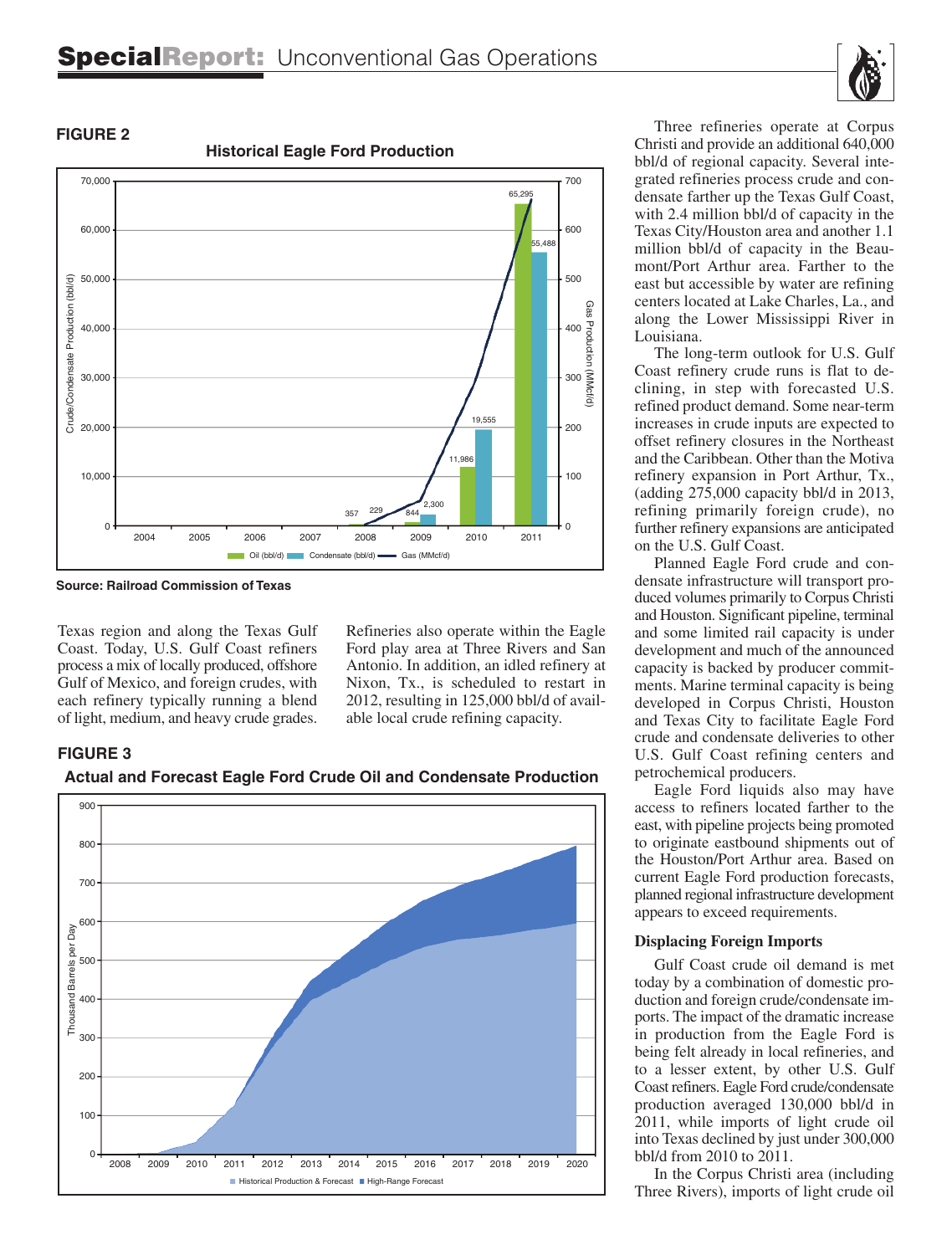

# **FIGURE 2**

**Historical Eagle Ford Production**



**Source: Railroad Commission of Texas**

Texas region and along the Texas Gulf Coast. Today, U.S. Gulf Coast refiners process a mix of locally produced, offshore Gulf of Mexico, and foreign crudes, with each refinery typically running a blend of light, medium, and heavy crude grades. Refineries also operate within the Eagle Ford play area at Three Rivers and San Antonio. In addition, an idled refinery at Nixon, Tx., is scheduled to restart in 2012, resulting in 125,000 bbl/d of available local crude refining capacity.

# **FIGURE 3**







Three refineries operate at Corpus Christi and provide an additional 640,000 bbl/d of regional capacity. Several integrated refineries process crude and condensate farther up the Texas Gulf Coast, with 2.4 million bbl/d of capacity in the Texas City/Houston area and another 1.1 million bbl/d of capacity in the Beaumont/Port Arthur area. Farther to the east but accessible by water are refining centers located at Lake Charles, La., and along the Lower Mississippi River in Louisiana.

The long-term outlook for U.S. Gulf Coast refinery crude runs is flat to declining, in step with forecasted U.S. refined product demand. Some near-term increases in crude inputs are expected to offset refinery closures in the Northeast and the Caribbean. Other than the Motiva refinery expansion in Port Arthur, Tx., (adding 275,000 capacity bbl/d in 2013, refining primarily foreign crude), no further refinery expansions are anticipated on the U.S. Gulf Coast.

Planned Eagle Ford crude and condensate infrastructure will transport produced volumes primarily to Corpus Christi and Houston. Significant pipeline, terminal and some limited rail capacity is under development and much of the announced capacity is backed by producer commitments. Marine terminal capacity is being developed in Corpus Christi, Houston and Texas City to facilitate Eagle Ford crude and condensate deliveries to other U.S. Gulf Coast refining centers and petrochemical producers.

Eagle Ford liquids also may have access to refiners located farther to the east, with pipeline projects being promoted to originate eastbound shipments out of the Houston/Port Arthur area. Based on current Eagle Ford production forecasts, planned regional infrastructure development appears to exceed requirements.

# **Displacing Foreign Imports**

Gulf Coast crude oil demand is met today by a combination of domestic production and foreign crude/condensate imports. The impact of the dramatic increase in production from the Eagle Ford is being felt already in local refineries, and to a lesser extent, by other U.S. Gulf Coast refiners. Eagle Ford crude/condensate production averaged 130,000 bbl/d in 2011, while imports of light crude oil into Texas declined by just under 300,000 bbl/d from 2010 to 2011.

In the Corpus Christi area (including Three Rivers), imports of light crude oil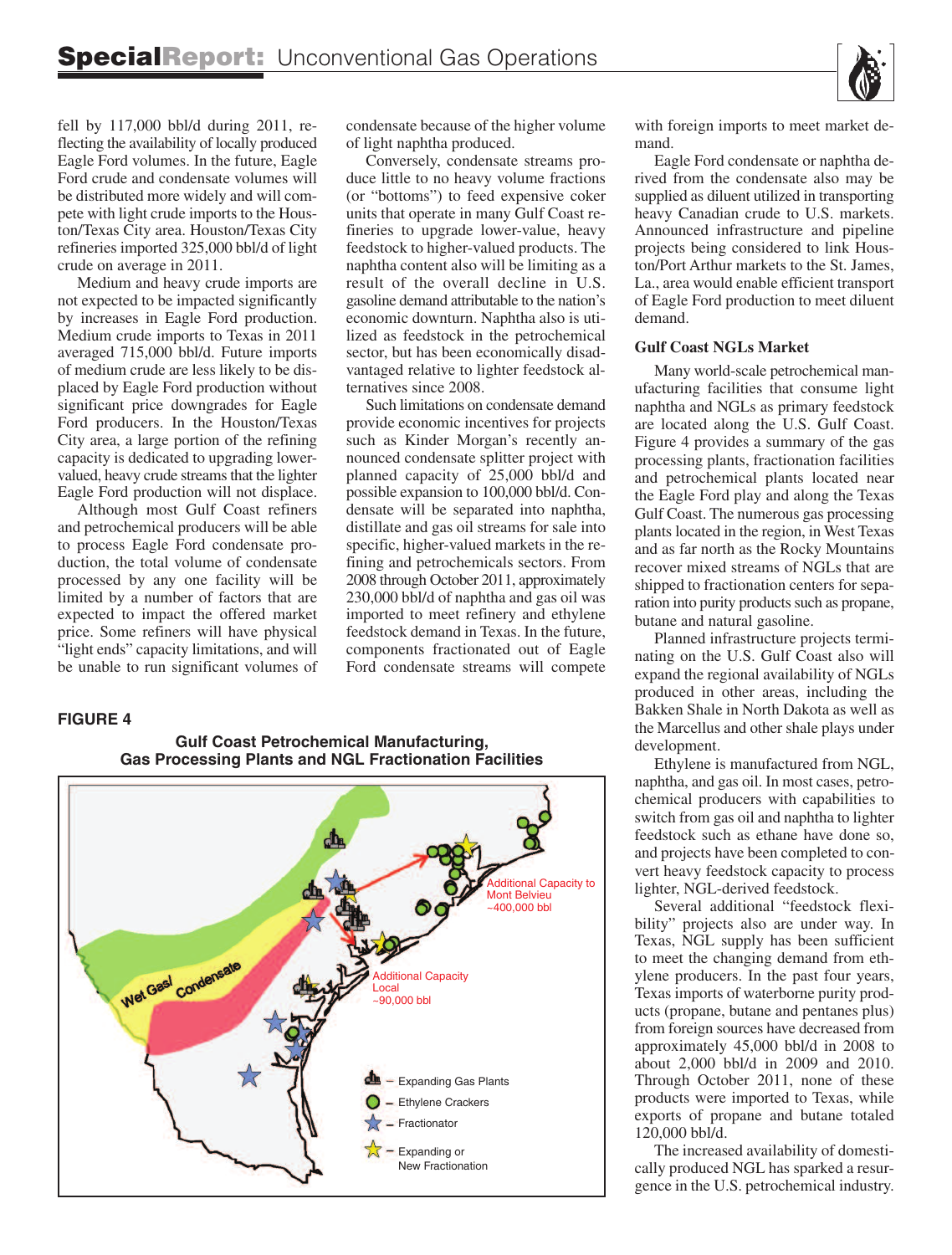fell by 117,000 bbl/d during 2011, reflecting the availability of locally produced Eagle Ford volumes. In the future, Eagle Ford crude and condensate volumes will be distributed more widely and will compete with light crude imports to the Houston/Texas City area. Houston/Texas City refineries imported 325,000 bbl/d of light crude on average in 2011.

Medium and heavy crude imports are not expected to be impacted significantly by increases in Eagle Ford production. Medium crude imports to Texas in 2011 averaged 715,000 bbl/d. Future imports of medium crude are less likely to be displaced by Eagle Ford production without significant price downgrades for Eagle Ford producers. In the Houston/Texas City area, a large portion of the refining capacity is dedicated to upgrading lowervalued, heavy crude streams that the lighter Eagle Ford production will not displace.

Although most Gulf Coast refiners and petrochemical producers will be able to process Eagle Ford condensate production, the total volume of condensate processed by any one facility will be limited by a number of factors that are expected to impact the offered market price. Some refiners will have physical "light ends" capacity limitations, and will be unable to run significant volumes of condensate because of the higher volume of light naphtha produced.

Conversely, condensate streams produce little to no heavy volume fractions (or "bottoms") to feed expensive coker units that operate in many Gulf Coast refineries to upgrade lower-value, heavy feedstock to higher-valued products. The naphtha content also will be limiting as a result of the overall decline in U.S. gasoline demand attributable to the nation's economic downturn. Naphtha also is utilized as feedstock in the petrochemical sector, but has been economically disadvantaged relative to lighter feedstock alternatives since 2008.

Such limitations on condensate demand provide economic incentives for projects such as Kinder Morgan's recently announced condensate splitter project with planned capacity of 25,000 bbl/d and possible expansion to 100,000 bbl/d. Condensate will be separated into naphtha, distillate and gas oil streams for sale into specific, higher-valued markets in the refining and petrochemicals sectors. From 2008 through October 2011, approximately 230,000 bbl/d of naphtha and gas oil was imported to meet refinery and ethylene feedstock demand in Texas. In the future, components fractionated out of Eagle Ford condensate streams will compete

#### **FIGURE 4**

# **Gulf Coast Petrochemical Manufacturing, Gas Processing Plants and NGL Fractionation Facilities**



with foreign imports to meet market demand.

Eagle Ford condensate or naphtha derived from the condensate also may be supplied as diluent utilized in transporting heavy Canadian crude to U.S. markets. Announced infrastructure and pipeline projects being considered to link Houston/Port Arthur markets to the St. James, La., area would enable efficient transport of Eagle Ford production to meet diluent demand.

#### **Gulf Coast NGLs Market**

Many world-scale petrochemical manufacturing facilities that consume light naphtha and NGLs as primary feedstock are located along the U.S. Gulf Coast. Figure 4 provides a summary of the gas processing plants, fractionation facilities and petrochemical plants located near the Eagle Ford play and along the Texas Gulf Coast. The numerous gas processing plants located in the region, in West Texas and as far north as the Rocky Mountains recover mixed streams of NGLs that are shipped to fractionation centers for separation into purity products such as propane, butane and natural gasoline.

Planned infrastructure projects terminating on the U.S. Gulf Coast also will expand the regional availability of NGLs produced in other areas, including the Bakken Shale in North Dakota as well as the Marcellus and other shale plays under development.

Ethylene is manufactured from NGL, naphtha, and gas oil. In most cases, petrochemical producers with capabilities to switch from gas oil and naphtha to lighter feedstock such as ethane have done so, and projects have been completed to convert heavy feedstock capacity to process lighter, NGL-derived feedstock.

Several additional "feedstock flexibility" projects also are under way. In Texas, NGL supply has been sufficient to meet the changing demand from ethylene producers. In the past four years, Texas imports of waterborne purity products (propane, butane and pentanes plus) from foreign sources have decreased from approximately 45,000 bbl/d in 2008 to about 2,000 bbl/d in 2009 and 2010. Through October 2011, none of these products were imported to Texas, while exports of propane and butane totaled 120,000 bbl/d.

The increased availability of domestically produced NGL has sparked a resurgence in the U.S. petrochemical industry.